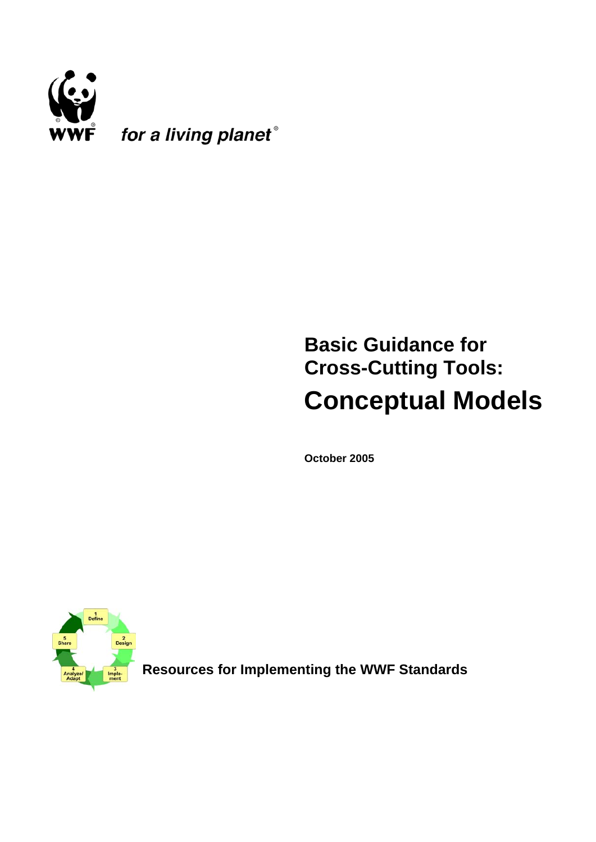

# **Basic Guidance for Cross-Cutting Tools: Conceptual Models**

**October 2005** 



**Resources for Implementing the WWF Standards**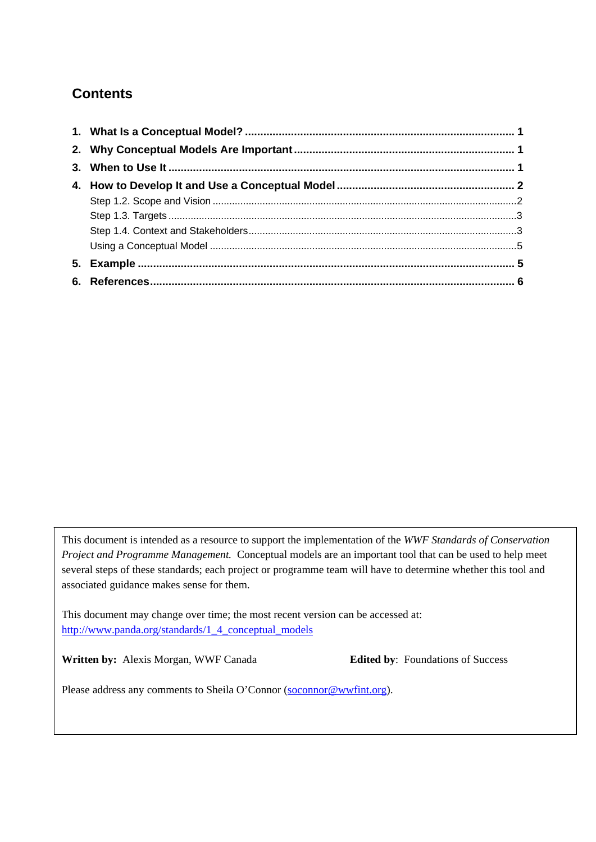## **Contents**

This document is intended as a resource to support the implementation of the *WWF Standards of Conservation Project and Programme Management.* Conceptual models are an important tool that can be used to help meet several steps of these standards; each project or programme team will have to determine whether this tool and associated guidance makes sense for them.

http://www.panda.org/standards/1\_4\_conceptual\_models This document may change over time; the most recent version can be accessed at:

**Written by:** Alexis Morgan, WWF Canada **Edited by**: Foundations of Success

Please address any comments to Sheila O'Connor (soconnor@wwfint.org).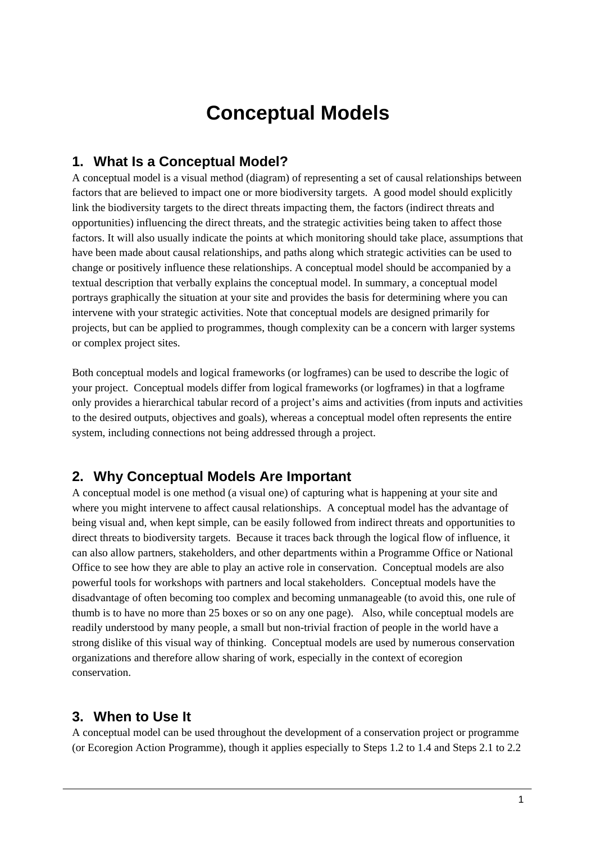## **Conceptual Models**

## <span id="page-2-0"></span>**1. What Is a Conceptual Model?**

A conceptual model is a visual method (diagram) of representing a set of causal relationships between factors that are believed to impact one or more biodiversity targets. A good model should explicitly link the biodiversity targets to the direct threats impacting them, the factors (indirect threats and opportunities) influencing the direct threats, and the strategic activities being taken to affect those factors. It will also usually indicate the points at which monitoring should take place, assumptions that have been made about causal relationships, and paths along which strategic activities can be used to change or positively influence these relationships. A conceptual model should be accompanied by a textual description that verbally explains the conceptual model. In summary, a conceptual model portrays graphically the situation at your site and provides the basis for determining where you can intervene with your strategic activities. Note that conceptual models are designed primarily for projects, but can be applied to programmes, though complexity can be a concern with larger systems or complex project sites.

Both conceptual models and logical frameworks (or logframes) can be used to describe the logic of your project. Conceptual models differ from logical frameworks (or logframes) in that a logframe only provides a hierarchical tabular record of a project's aims and activities (from inputs and activities to the desired outputs, objectives and goals), whereas a conceptual model often represents the entire system, including connections not being addressed through a project.

#### **2. Why Conceptual Models Are Important**

A conceptual model is one method (a visual one) of capturing what is happening at your site and where you might intervene to affect causal relationships. A conceptual model has the advantage of being visual and, when kept simple, can be easily followed from indirect threats and opportunities to direct threats to biodiversity targets. Because it traces back through the logical flow of influence, it can also allow partners, stakeholders, and other departments within a Programme Office or National Office to see how they are able to play an active role in conservation. Conceptual models are also powerful tools for workshops with partners and local stakeholders. Conceptual models have the disadvantage of often becoming too complex and becoming unmanageable (to avoid this, one rule of thumb is to have no more than 25 boxes or so on any one page). Also, while conceptual models are readily understood by many people, a small but non-trivial fraction of people in the world have a strong dislike of this visual way of thinking. Conceptual models are used by numerous conservation organizations and therefore allow sharing of work, especially in the context of ecoregion conservation.

#### **3. When to Use It**

A conceptual model can be used throughout the development of a conservation project or programme (or Ecoregion Action Programme), though it applies especially to Steps 1.2 to 1.4 and Steps 2.1 to 2.2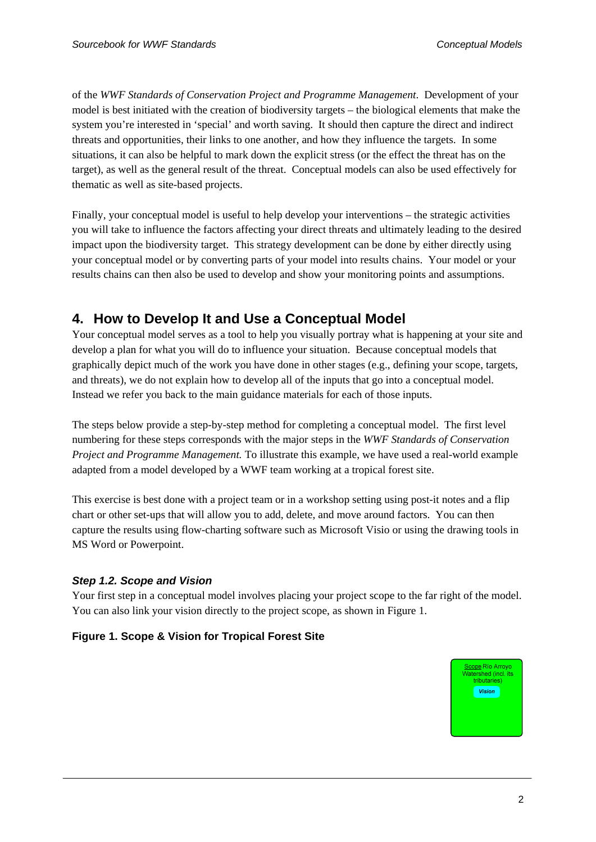<span id="page-3-0"></span>of the *WWF Standards of Conservation Project and Programme Management*. Development of your model is best initiated with the creation of biodiversity targets – the biological elements that make the system you're interested in 'special' and worth saving. It should then capture the direct and indirect threats and opportunities, their links to one another, and how they influence the targets. In some situations, it can also be helpful to mark down the explicit stress (or the effect the threat has on the target), as well as the general result of the threat. Conceptual models can also be used effectively for thematic as well as site-based projects.

Finally, your conceptual model is useful to help develop your interventions – the strategic activities you will take to influence the factors affecting your direct threats and ultimately leading to the desired impact upon the biodiversity target. This strategy development can be done by either directly using your conceptual model or by converting parts of your model into results chains. Your model or your results chains can then also be used to develop and show your monitoring points and assumptions.

## **4. How to Develop It and Use a Conceptual Model**

Your conceptual model serves as a tool to help you visually portray what is happening at your site and develop a plan for what you will do to influence your situation. Because conceptual models that graphically depict much of the work you have done in other stages (e.g., defining your scope, targets, and threats), we do not explain how to develop all of the inputs that go into a conceptual model. Instead we refer you back to the main guidance materials for each of those inputs.

The steps below provide a step-by-step method for completing a conceptual model. The first level numbering for these steps corresponds with the major steps in the *WWF Standards of Conservation Project and Programme Management.* To illustrate this example, we have used a real-world example adapted from a model developed by a WWF team working at a tropical forest site.

This exercise is best done with a project team or in a workshop setting using post-it notes and a flip chart or other set-ups that will allow you to add, delete, and move around factors. You can then capture the results using flow-charting software such as Microsoft Visio or using the drawing tools in MS Word or Powerpoint.

#### *Step 1.2. Scope and Vision*

Your first step in a conceptual model involves placing your project scope to the far right of the model. You can also link your vision directly to the project scope, as shown in Figure 1.

#### **Figure 1. Scope & Vision for Tropical Forest Site**

cone Río Arrovo  $\overline{\phantom{a}}$ shed (incl. tributaries) Vision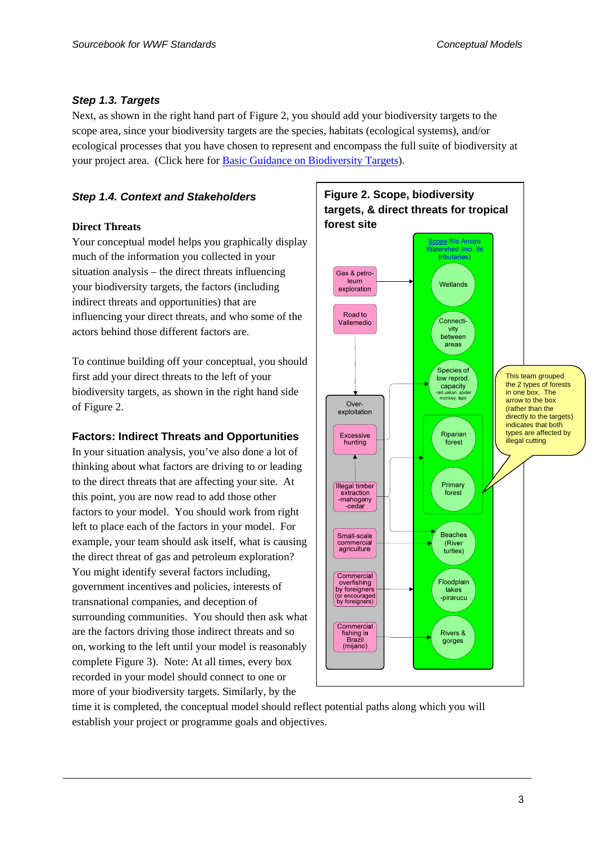#### <span id="page-4-0"></span>*Step 1.3. Targets*

Next, as shown in the right hand part of Figure 2, you should add your biodiversity targets to the scope area, since your biodiversity targets are the species, habitats (ecological systems), and/or ecological processes that you have chosen to represent and encompass the full suite of biodiversity at your project area. (Click here for [Basic Guidance on Biodiversity Targets](http://www.panda.org/standards/1_3_targets)).

#### *Step 1.4. Context and Stakeholders*

#### **Direct Threats**

Your conceptual model helps you graphically display much of the information you collected in your situation analysis – the direct threats influencing your biodiversity targets, the factors (including indirect threats and opportunities) that are influencing your direct threats, and who some of the actors behind those different factors are.

To continue building off your conceptual, you should first add your direct threats to the left of your biodiversity targets, as shown in the right hand side of Figure 2.

#### **Factors: Indirect Threats and Opportunities**

In your situation analysis, you've also done a lot of thinking about what factors are driving to or leading to the direct threats that are affecting your site. At this point, you are now read to add those other factors to your model. You should work from right left to place each of the factors in your model. For example, your team should ask itself, what is causing the direct threat of gas and petroleum exploration? You might identify several factors including, government incentives and policies, interests of transnational companies, and deception of surrounding communities. You should then ask what are the factors driving those indirect threats and so on, working to the left until your model is reasonably complete Figure 3). Note: At all times, every box recorded in your model should connect to one or more of your biodiversity targets. Similarly, by the



time it is completed, the conceptual model should reflect potential paths along which you will establish your project or programme goals and objectives.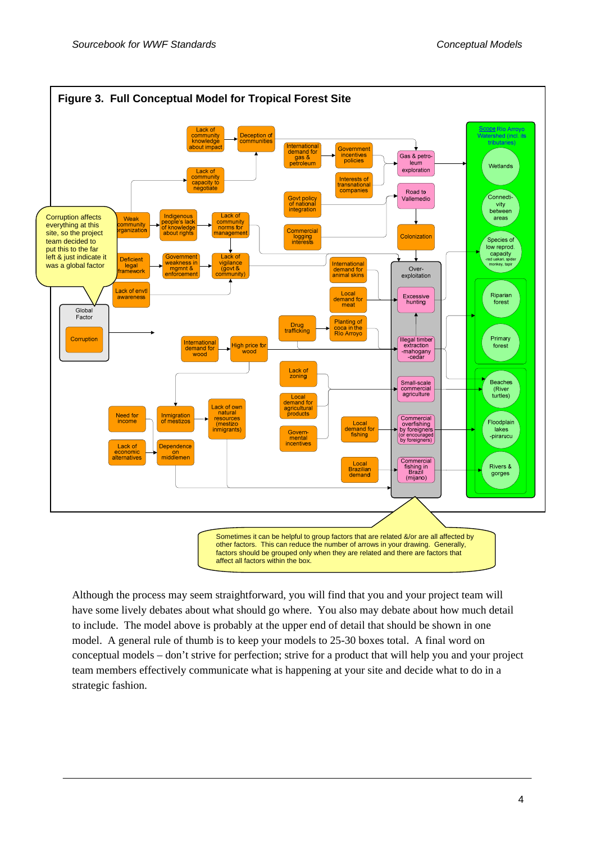

Although the process may seem straightforward, you will find that you and your project team will have some lively debates about what should go where. You also may debate about how much detail to include. The model above is probably at the upper end of detail that should be shown in one model. A general rule of thumb is to keep your models to 25-30 boxes total. A final word on conceptual models – don't strive for perfection; strive for a product that will help you and your project team members effectively communicate what is happening at your site and decide what to do in a strategic fashion.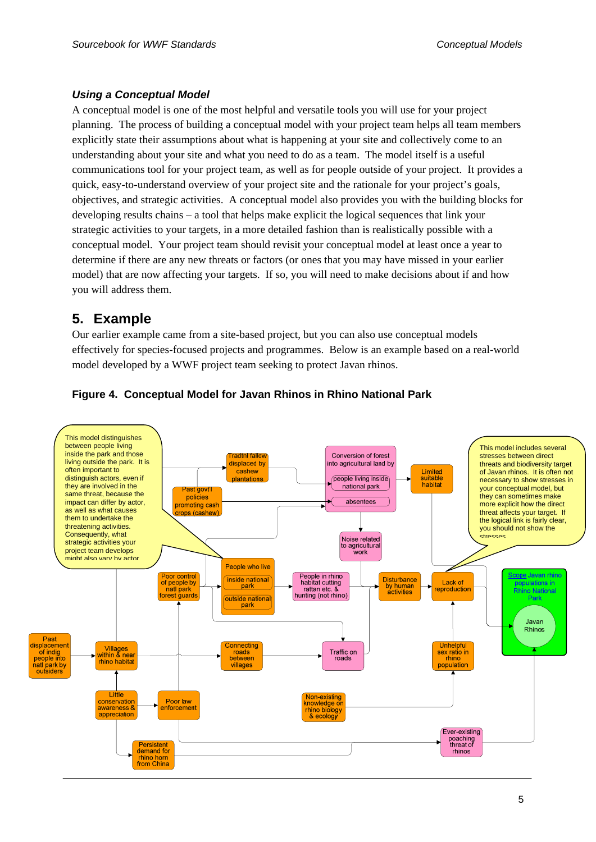#### <span id="page-6-0"></span>*Using a Conceptual Model*

A conceptual model is one of the most helpful and versatile tools you will use for your project planning. The process of building a conceptual model with your project team helps all team members explicitly state their assumptions about what is happening at your site and collectively come to an understanding about your site and what you need to do as a team. The model itself is a useful communications tool for your project team, as well as for people outside of your project. It provides a quick, easy-to-understand overview of your project site and the rationale for your project's goals, objectives, and strategic activities. A conceptual model also provides you with the building blocks for developing results chains – a tool that helps make explicit the logical sequences that link your strategic activities to your targets, in a more detailed fashion than is realistically possible with a conceptual model. Your project team should revisit your conceptual model at least once a year to determine if there are any new threats or factors (or ones that you may have missed in your earlier model) that are now affecting your targets. If so, you will need to make decisions about if and how you will address them.

## **5. Example**

Our earlier example came from a site-based project, but you can also use conceptual models effectively for species-focused projects and programmes. Below is an example based on a real-world model developed by a WWF project team seeking to protect Javan rhinos.



#### **Figure 4. Conceptual Model for Javan Rhinos in Rhino National Park**